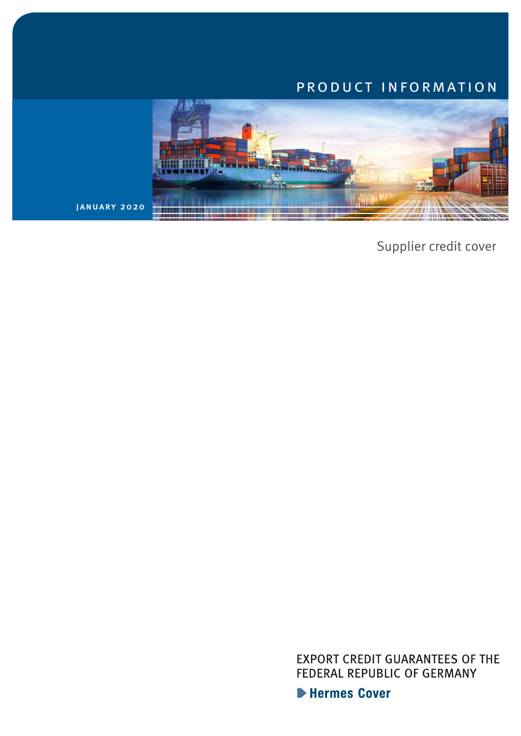## product information



january 2020

Supplier credit cover

EXPORT CREDIT GUARANTEES OF THE FEDERAL REPUBLIC OF GERMANY

Hermes Cover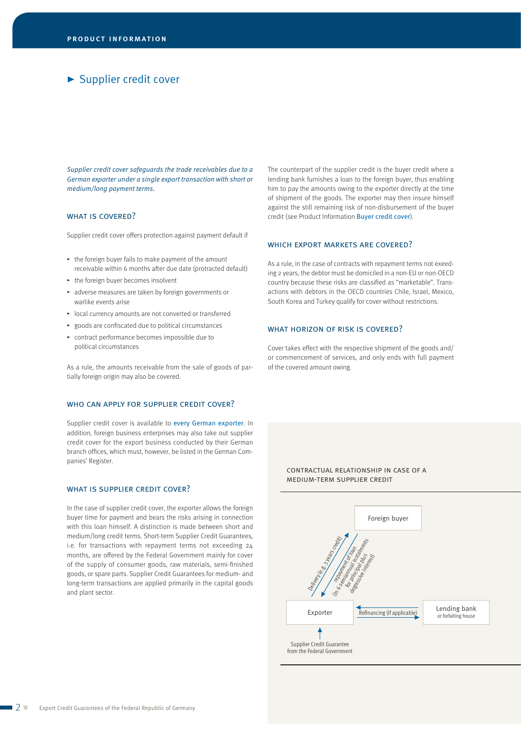## Supplier credit cover

*Supplier credit cover safeguards the trade receivables due to a German exporter under a single export transaction with short or medium/long payment terms.*

## WHAT IS COVERED?

Supplier credit cover offers protection against payment default if

- $\cdot$  the foreign buyer fails to make payment of the amount receivable within 6 months after due date (protracted default)
- $\rightarrow$  the foreign buyer becomes insolvent
- @ adverse measures are taken by foreign governments or warlike events arise
- $\blacktriangleright$  local currency amounts are not converted or transferred
- $\rightarrow$  goods are confiscated due to political circumstances
- $\triangleright$  contract performance becomes impossible due to political circumstances

As a rule, the amounts receivable from the sale of goods of partially foreign origin may also be covered.

#### who can apply for supplier credit cover?

Supplier credit cover is available to every German exporter. In addition, foreign business enterprises may also take out supplier credit cover for the export business conducted by their German branch offices, which must, however, be listed in the German Companies' Register.

#### WHAT IS SUPPLIER CREDIT COVER?

In the case of supplier credit cover, the exporter allows the foreign buyer time for payment and bears the risks arising in connection with this loan himself. A distinction is made between short and medium/long credit terms. Short-term Supplier Credit Guarantees, i.e. for transactions with repayment terms not exceeding 24 months, are offered by the Federal Government mainly for cover of the supply of consumer goods, raw materials, semi-finished goods, or spare parts. Supplier Credit Guarantees for medium- and long-term transactions are applied primarily in the capital goods and plant sector.

The counterpart of the supplier credit is the buyer credit where a lending bank furnishes a loan to the foreign buyer, thus enabling him to pay the amounts owing to the exporter directly at the time of shipment of the goods. The exporter may then insure himself against the still remaining risk of non-disbursement of the buyer credit (see Product Information Buyer credit cover).

#### WHICH EXPORT MARKETS ARE COVERED?

As a rule, in the case of contracts with repayment terms not exeeding 2 years, the debtor must be domiciled in a non-EU or non-OECD country because these risks are classified as "marketable". Transactions with debtors in the OECD countries Chile, Israel, Mexico, South Korea and Turkey qualify for cover without restrictions.

#### WHAT HORIZON OF RISK IS COVERED?

Cover takes effect with the respective shipment of the goods and/ or commencement of services, and only ends with full payment of the covered amount owing.

> contractual relationship in case of a medium-term supplier credit

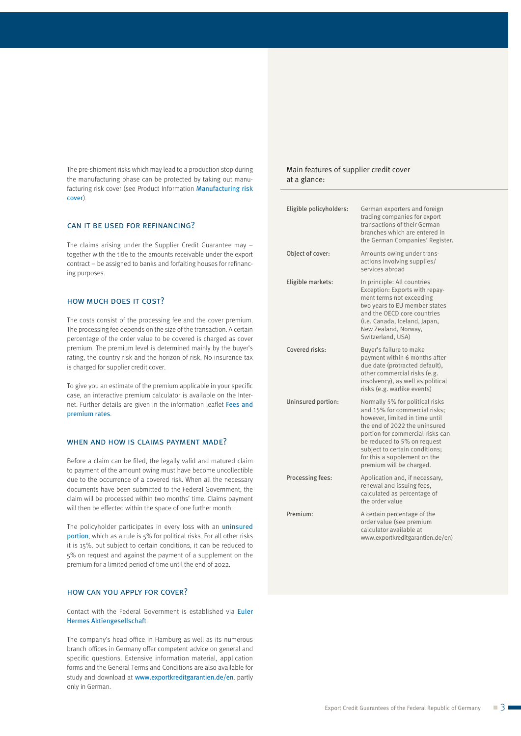The pre-shipment risks which may lead to a production stop during the manufacturing phase can be protected by taking out manufacturing risk cover (see Product Information Manufacturing risk cover).

### can it be used for refinancing?

The claims arising under the Supplier Credit Guarantee may – together with the title to the amounts receivable under the export contract – be assigned to banks and forfaiting houses for refinancing purposes.

## how much does it cost?

The costs consist of the processing fee and the cover premium. The processing fee depends on the size of the transaction. A certain percentage of the order value to be covered is charged as cover premium. The premium level is determined mainly by the buyer's rating, the country risk and the horizon of risk. No insurance tax is charged for supplier credit cover.

To give you an estimate of the premium applicable in your specific case, an interactive premium calculator is available on the Internet. Further details are given in the information leaflet Fees and premium rates.

#### WHEN AND HOW IS CLAIMS PAYMENT MADE?

Before a claim can be filed, the legally valid and matured claim to payment of the amount owing must have become uncollectible due to the occurrence of a covered risk. When all the necessary documents have been submitted to the Federal Government, the claim will be processed within two months' time. Claims payment will then be effected within the space of one further month.

The policyholder participates in every loss with an *uninsured* portion, which as a rule is 5% for political risks. For all other risks it is 15%, but subject to certain conditions, it can be reduced to 5% on request and against the payment of a supplement on the premium for a limited period of time until the end of 2022.

### how can you apply for cover?

Contact with the Federal Government is established via Euler Hermes Aktiengesellschaft.

The company's head office in Hamburg as well as its numerous branch offices in Germany offer competent advice on general and specific questions. Extensive information material, application forms and the General Terms and Conditions are also available for study and download at www.exportkreditgarantien.de/en, partly only in German.

#### Main features of supplier credit cover at a glance:

| Eligible policyholders: | German exporters and foreign<br>trading companies for export<br>transactions of their German<br>branches which are entered in<br>the German Companies' Register.                                                                                                                                     |
|-------------------------|------------------------------------------------------------------------------------------------------------------------------------------------------------------------------------------------------------------------------------------------------------------------------------------------------|
| Object of cover:        | Amounts owing under trans-<br>actions involving supplies/<br>services abroad                                                                                                                                                                                                                         |
| Eligible markets:       | In principle: All countries<br>Exception: Exports with repay-<br>ment terms not exceeding<br>two years to EU member states<br>and the OECD core countries<br>(i.e. Canada, Iceland, Japan,<br>New Zealand, Norway,<br>Switzerland, USA)                                                              |
| Covered risks:          | Buyer's failure to make<br>payment within 6 months after<br>due date (protracted default),<br>other commercial risks (e.g.<br>insolvency), as well as political<br>risks (e.g. warlike events)                                                                                                       |
| Uninsured portion:      | Normally 5% for political risks<br>and 15% for commercial risks:<br>however, limited in time until<br>the end of 2022 the uninsured<br>portion for commercial risks can<br>be reduced to 5% on request<br>subject to certain conditions;<br>for this a supplement on the<br>premium will be charged. |
| Processing fees:        | Application and, if necessary,<br>renewal and issuing fees,<br>calculated as percentage of<br>the order value                                                                                                                                                                                        |
| Premium:                | A certain percentage of the<br>order value (see premium<br>calculator available at<br>www.exportkreditgarantien.de/en)                                                                                                                                                                               |